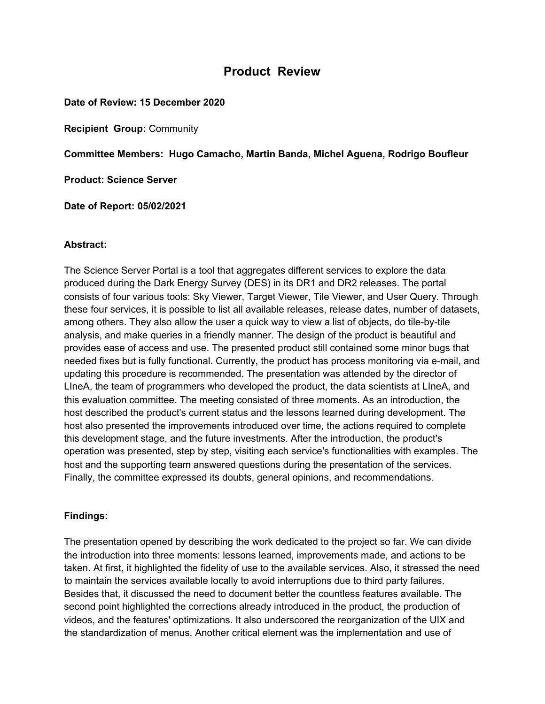# **Product Review**

**Date of Review: 15 December 2020**

**Recipient Group:** Community

**Committee Members: Hugo Camacho, Martin Banda, Michel Aguena, Rodrigo Boufleur**

**Product: Science Server**

**Date of Report: 05/02/2021**

#### **Abstract:**

The Science Server Portal is a tool that aggregates different services to explore the data produced during the Dark Energy Survey (DES) in its DR1 and DR2 releases. The portal consists of four various tools: Sky Viewer, Target Viewer, Tile Viewer, and User Query. Through these four services, it is possible to list all available releases, release dates, number of datasets, among others. They also allow the user a quick way to view a list of objects, do tile-by-tile analysis, and make queries in a friendly manner. The design of the product is beautiful and provides ease of access and use. The presented product still contained some minor bugs that needed fixes but is fully functional. Currently, the product has process monitoring via e-mail, and updating this procedure is recommended. The presentation was attended by the director of LIneA, the team of programmers who developed the product, the data scientists at LIneA, and this evaluation committee. The meeting consisted of three moments. As an introduction, the host described the product's current status and the lessons learned during development. The host also presented the improvements introduced over time, the actions required to complete this development stage, and the future investments. After the introduction, the product's operation was presented, step by step, visiting each service's functionalities with examples. The host and the supporting team answered questions during the presentation of the services. Finally, the committee expressed its doubts, general opinions, and recommendations.

## **Findings:**

The presentation opened by describing the work dedicated to the project so far. We can divide the introduction into three moments: lessons learned, improvements made, and actions to be taken. At first, it highlighted the fidelity of use to the available services. Also, it stressed the need to maintain the services available locally to avoid interruptions due to third party failures. Besides that, it discussed the need to document better the countless features available. The second point highlighted the corrections already introduced in the product, the production of videos, and the features' optimizations. It also underscored the reorganization of the UIX and the standardization of menus. Another critical element was the implementation and use of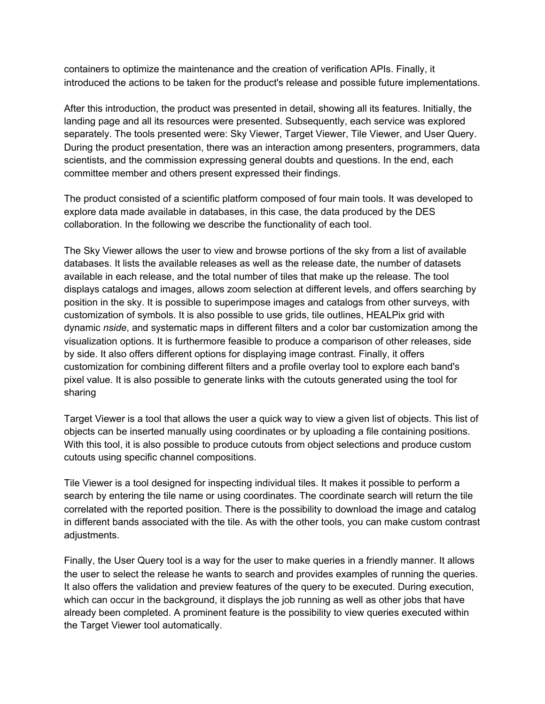containers to optimize the maintenance and the creation of verification APIs. Finally, it introduced the actions to be taken for the product's release and possible future implementations.

After this introduction, the product was presented in detail, showing all its features. Initially, the landing page and all its resources were presented. Subsequently, each service was explored separately. The tools presented were: Sky Viewer, Target Viewer, Tile Viewer, and User Query. During the product presentation, there was an interaction among presenters, programmers, data scientists, and the commission expressing general doubts and questions. In the end, each committee member and others present expressed their findings.

The product consisted of a scientific platform composed of four main tools. It was developed to explore data made available in databases, in this case, the data produced by the DES collaboration. In the following we describe the functionality of each tool.

The Sky Viewer allows the user to view and browse portions of the sky from a list of available databases. It lists the available releases as well as the release date, the number of datasets available in each release, and the total number of tiles that make up the release. The tool displays catalogs and images, allows zoom selection at different levels, and offers searching by position in the sky. It is possible to superimpose images and catalogs from other surveys, with customization of symbols. It is also possible to use grids, tile outlines, HEALPix grid with dynamic *nside*, and systematic maps in different filters and a color bar customization among the visualization options. It is furthermore feasible to produce a comparison of other releases, side by side. It also offers different options for displaying image contrast. Finally, it offers customization for combining different filters and a profile overlay tool to explore each band's pixel value. It is also possible to generate links with the cutouts generated using the tool for sharing

Target Viewer is a tool that allows the user a quick way to view a given list of objects. This list of objects can be inserted manually using coordinates or by uploading a file containing positions. With this tool, it is also possible to produce cutouts from object selections and produce custom cutouts using specific channel compositions.

Tile Viewer is a tool designed for inspecting individual tiles. It makes it possible to perform a search by entering the tile name or using coordinates. The coordinate search will return the tile correlated with the reported position. There is the possibility to download the image and catalog in different bands associated with the tile. As with the other tools, you can make custom contrast adiustments.

Finally, the User Query tool is a way for the user to make queries in a friendly manner. It allows the user to select the release he wants to search and provides examples of running the queries. It also offers the validation and preview features of the query to be executed. During execution, which can occur in the background, it displays the job running as well as other jobs that have already been completed. A prominent feature is the possibility to view queries executed within the Target Viewer tool automatically.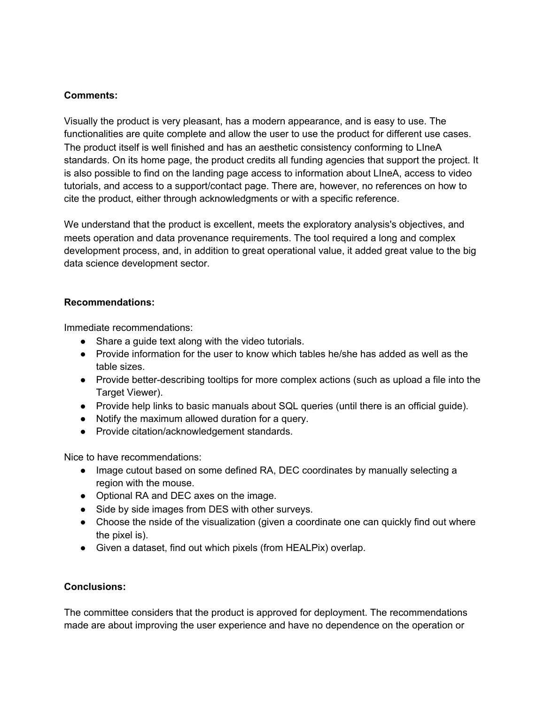## **Comments:**

Visually the product is very pleasant, has a modern appearance, and is easy to use. The functionalities are quite complete and allow the user to use the product for different use cases. The product itself is well finished and has an aesthetic consistency conforming to LIneA standards. On its home page, the product credits all funding agencies that support the project. It is also possible to find on the landing page access to information about LIneA, access to video tutorials, and access to a support/contact page. There are, however, no references on how to cite the product, either through acknowledgments or with a specific reference.

We understand that the product is excellent, meets the exploratory analysis's objectives, and meets operation and data provenance requirements. The tool required a long and complex development process, and, in addition to great operational value, it added great value to the big data science development sector.

## **Recommendations:**

Immediate recommendations:

- Share a guide text along with the video tutorials.
- Provide information for the user to know which tables he/she has added as well as the table sizes.
- Provide better-describing tooltips for more complex actions (such as upload a file into the Target Viewer).
- Provide help links to basic manuals about SQL queries (until there is an official guide).
- Notify the maximum allowed duration for a query.
- Provide citation/acknowledgement standards.

Nice to have recommendations:

- Image cutout based on some defined RA, DEC coordinates by manually selecting a region with the mouse.
- Optional RA and DEC axes on the image.
- Side by side images from DES with other surveys.
- Choose the nside of the visualization (given a coordinate one can quickly find out where the pixel is).
- Given a dataset, find out which pixels (from HEALPix) overlap.

## **Conclusions:**

The committee considers that the product is approved for deployment. The recommendations made are about improving the user experience and have no dependence on the operation or